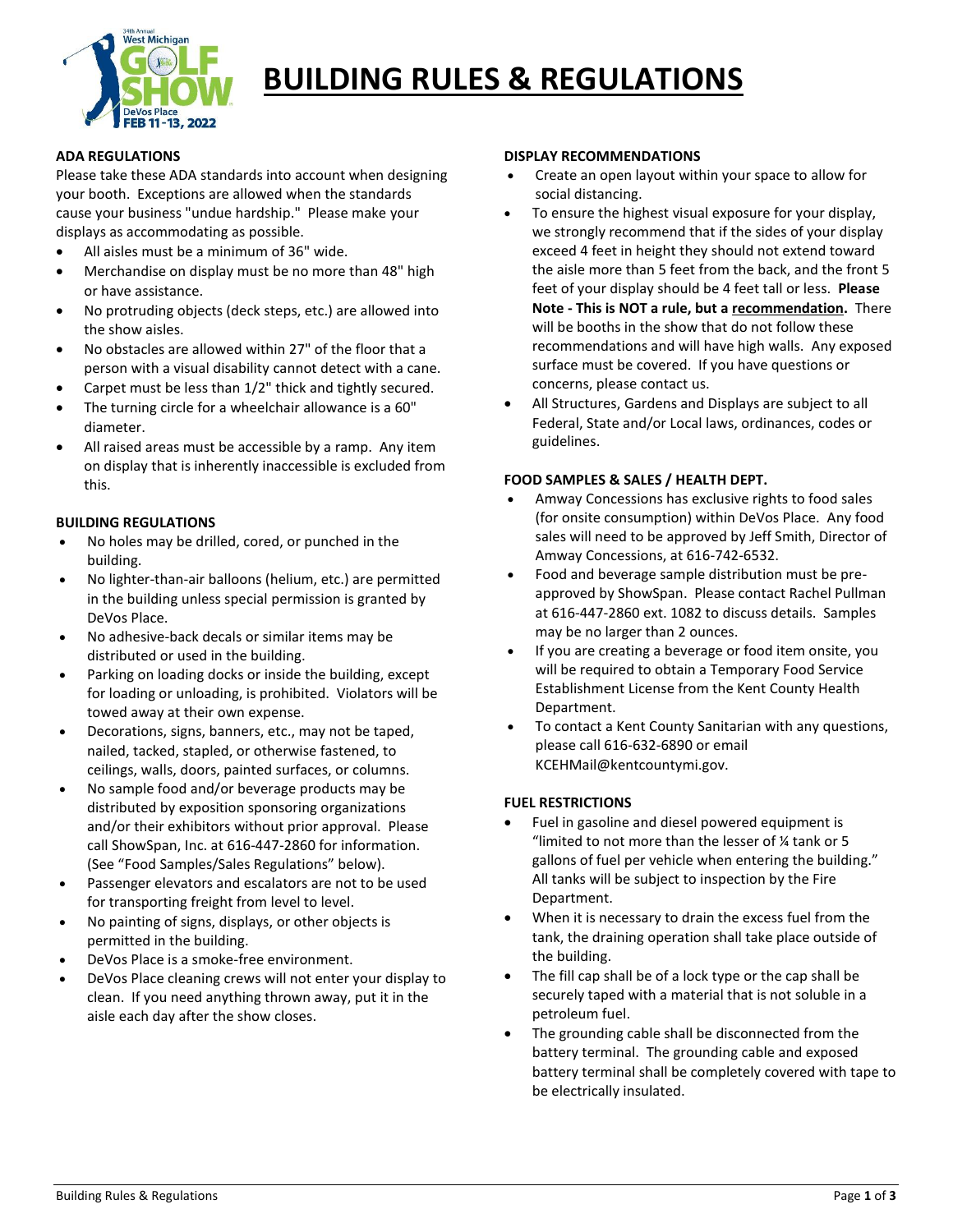

# **BUILDING RULES & REGULATIONS**

## **ADA REGULATIONS**

Please take these ADA standards into account when designing your booth. Exceptions are allowed when the standards cause your business "undue hardship." Please make your displays as accommodating as possible.

- All aisles must be a minimum of 36" wide.
- Merchandise on display must be no more than 48" high or have assistance.
- No protruding objects (deck steps, etc.) are allowed into the show aisles.
- No obstacles are allowed within 27" of the floor that a person with a visual disability cannot detect with a cane.
- Carpet must be less than 1/2" thick and tightly secured.
- The turning circle for a wheelchair allowance is a 60" diameter.
- All raised areas must be accessible by a ramp. Any item on display that is inherently inaccessible is excluded from this.

# **BUILDING REGULATIONS**

- No holes may be drilled, cored, or punched in the building.
- No lighter-than-air balloons (helium, etc.) are permitted in the building unless special permission is granted by DeVos Place.
- No adhesive-back decals or similar items may be distributed or used in the building.
- Parking on loading docks or inside the building, except for loading or unloading, is prohibited. Violators will be towed away at their own expense.
- Decorations, signs, banners, etc., may not be taped, nailed, tacked, stapled, or otherwise fastened, to ceilings, walls, doors, painted surfaces, or columns.
- No sample food and/or beverage products may be distributed by exposition sponsoring organizations and/or their exhibitors without prior approval. Please call ShowSpan, Inc. at 616-447-2860 for information. (See "Food Samples/Sales Regulations" below).
- Passenger elevators and escalators are not to be used for transporting freight from level to level.
- No painting of signs, displays, or other objects is permitted in the building.
- DeVos Place is a smoke-free environment.
- DeVos Place cleaning crews will not enter your display to clean. If you need anything thrown away, put it in the aisle each day after the show closes.

#### **DISPLAY RECOMMENDATIONS**

- Create an open layout within your space to allow for social distancing.
- To ensure the highest visual exposure for your display, we strongly recommend that if the sides of your display exceed 4 feet in height they should not extend toward the aisle more than 5 feet from the back, and the front 5 feet of your display should be 4 feet tall or less. **Please Note - This is NOT a rule, but a recommendation.** There will be booths in the show that do not follow these recommendations and will have high walls. Any exposed surface must be covered. If you have questions or concerns, please contact us.
- All Structures, Gardens and Displays are subject to all Federal, State and/or Local laws, ordinances, codes or guidelines.

# **FOOD SAMPLES & SALES / HEALTH DEPT.**

- Amway Concessions has exclusive rights to food sales (for onsite consumption) within DeVos Place. Any food sales will need to be approved by Jeff Smith, Director of Amway Concessions, at 616-742-6532.
- Food and beverage sample distribution must be preapproved by ShowSpan. Please contact Rachel Pullman at 616-447-2860 ext. 1082 to discuss details. Samples may be no larger than 2 ounces.
- If you are creating a beverage or food item onsite, you will be required to obtain a Temporary Food Service Establishment License from the Kent County Health Department.
- To contact a Kent County Sanitarian with any questions, please call 616-632-6890 or email KCEHMail@kentcountymi.gov.

## **FUEL RESTRICTIONS**

- Fuel in gasoline and diesel powered equipment is "limited to not more than the lesser of ¼ tank or 5 gallons of fuel per vehicle when entering the building." All tanks will be subject to inspection by the Fire Department.
- When it is necessary to drain the excess fuel from the tank, the draining operation shall take place outside of the building.
- The fill cap shall be of a lock type or the cap shall be securely taped with a material that is not soluble in a petroleum fuel.
- The grounding cable shall be disconnected from the battery terminal. The grounding cable and exposed battery terminal shall be completely covered with tape to be electrically insulated.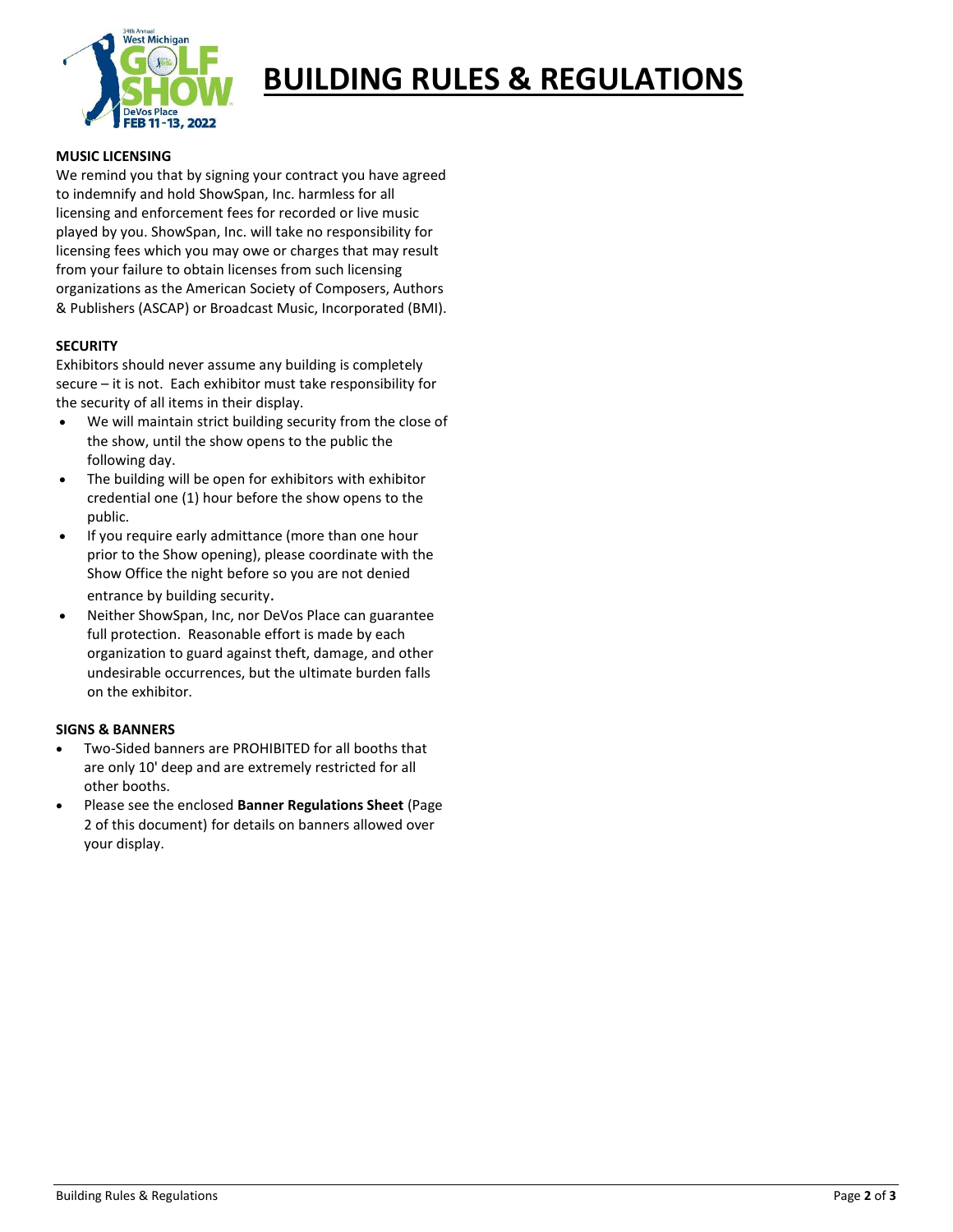

# **BUILDING RULES & REGULATIONS**

## **MUSIC LICENSING**

We remind you that by signing your contract you have agreed to indemnify and hold ShowSpan, Inc. harmless for all licensing and enforcement fees for recorded or live music played by you. ShowSpan, Inc. will take no responsibility for licensing fees which you may owe or charges that may result from your failure to obtain licenses from such licensing organizations as the American Society of Composers, Authors & Publishers (ASCAP) or Broadcast Music, Incorporated (BMI).

## **SECURITY**

Exhibitors should never assume any building is completely secure – it is not. Each exhibitor must take responsibility for the security of all items in their display.

- We will maintain strict building security from the close of the show, until the show opens to the public the following day.
- The building will be open for exhibitors with exhibitor credential one (1) hour before the show opens to the public.
- If you require early admittance (more than one hour prior to the Show opening), please coordinate with the Show Office the night before so you are not denied entrance by building security.
- Neither ShowSpan, Inc, nor DeVos Place can guarantee full protection. Reasonable effort is made by each organization to guard against theft, damage, and other undesirable occurrences, but the ultimate burden falls on the exhibitor.

# **SIGNS & BANNERS**

- Two-Sided banners are PROHIBITED for all booths that are only 10' deep and are extremely restricted for all other booths.
- Please see the enclosed **Banner Regulations Sheet** (Page 2 of this document) for details on banners allowed over your display.